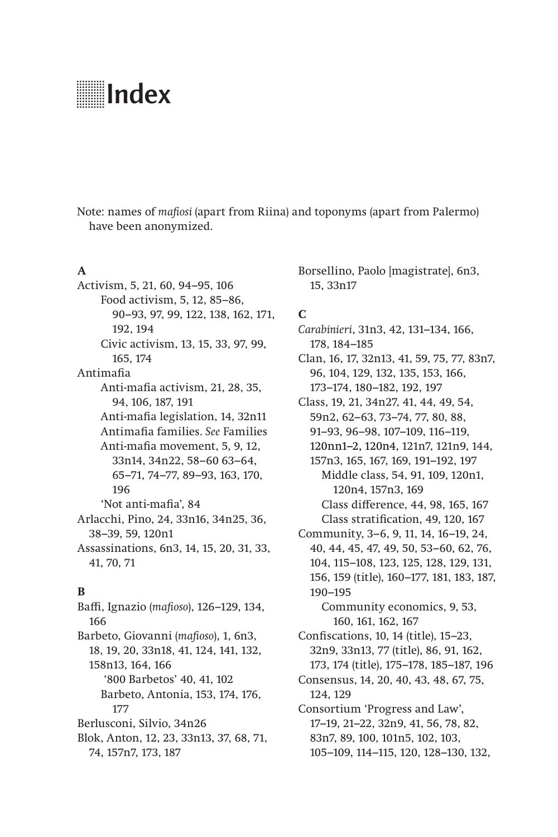# **Index**

Note: names of *mafiosi* (apart from Riina) and toponyms (apart from Palermo) have been anonymized.

## **A**

Activism, 5, 21, 60, 94–95, 106 Food activism, 5, 12, 85–86, 90–93, 97, 99, 122, 138, 162, 171, 192, 194 Civic activism, 13, 15, 33, 97, 99, 165, 174 Antimafia Anti-mafia activism, 21, 28, 35, 94, 106, 187, 191 Anti-mafia legislation, 14, 32n11 Antimafia families. *See* Families Anti-mafia movement, 5, 9, 12, 33n14, 34n22, 58–60 63–64, 65–71, 74–77, 89–93, 163, 170, 196 'Not anti-mafia', 84 Arlacchi, Pino, 24, 33n16, 34n25, 36, 38–39, 59, 120n1 Assassinations, 6n3, 14, 15, 20, 31, 33, 41, 70, 71

## **B**

Baffi, Ignazio (*mafioso*), 126–129, 134, 166 Barbeto, Giovanni (*mafioso*), 1, 6n3, 18, 19, 20, 33n18, 41, 124, 141, 132, 158n13, 164, 166 '800 Barbetos' 40, 41, 102 Barbeto, Antonia, 153, 174, 176, 177 Berlusconi, Silvio, 34n26 Blok, Anton, 12, 23, 33n13, 37, 68, 71,

74, 157n7, 173, 187

Borsellino, Paolo [magistrate], 6n3, 15, 33n17

## **C**

- *Carabinieri*, 31n3, 42, 131–134, 166, 178, 184–185 Clan, 16, 17, 32n13, 41, 59, 75, 77, 83n7,
	- 96, 104, 129, 132, 135, 153, 166, 173–174, 180–182, 192, 197
- Class, 19, 21, 34n27, 41, 44, 49, 54, 59n2, 62–63, 73–74, 77, 80, 88, 91–93, 96–98, 107–109, 116–119, 120nn1–2, 120n4, 121n7, 121n9, 144, 157n3, 165, 167, 169, 191–192, 197 Middle class, 54, 91, 109, 120n1,
	- 120n4, 157n3, 169 Class difference, 44, 98, 165, 167 Class stratification, 49, 120, 167
- Community, 3–6, 9, 11, 14, 16–19, 24, 40, 44, 45, 47, 49, 50, 53–60, 62, 76, 104, 115–108, 123, 125, 128, 129, 131, 156, 159 (title), 160–177, 181, 183, 187, 190–195 Community economics, 9, 53,
	- 160, 161, 162, 167
- Confiscations, 10, 14 (title), 15–23, 32n9, 33n13, 77 (title), 86, 91, 162, 173, 174 (title), 175–178, 185–187, 196 Consensus, 14, 20, 40, 43, 48, 67, 75, 124, 129 Consortium 'Progress and Law',
- 17–19, 21–22, 32n9, 41, 56, 78, 82, 83n7, 89, 100, 101n5, 102, 103, 105–109, 114–115, 120, 128–130, 132,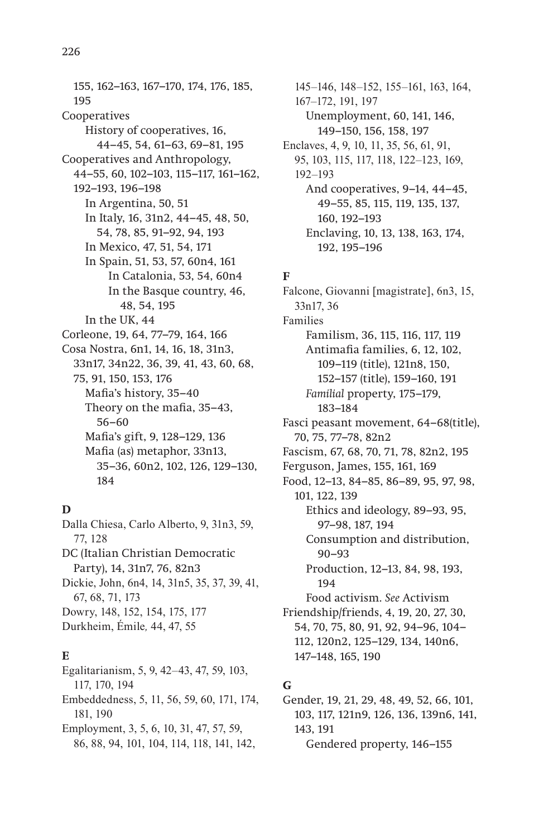155, 162–163, 167–170, 174, 176, 185, 195 Cooperatives History of cooperatives, 16, 44–45, 54, 61–63, 69–81, 195 Cooperatives and Anthropology, 44–55, 60, 102–103, 115–117, 161–162, 192–193, 196–198 In Argentina, 50, 51 In Italy, 16, 31n2, 44–45, 48, 50, 54, 78, 85, 91–92, 94, 193 In Mexico, 47, 51, 54, 171 In Spain, 51, 53, 57, 60n4, 161 In Catalonia, 53, 54, 60n4 In the Basque country, 46, 48, 54, 195 In the UK, 44 Corleone, 19, 64, 77–79, 164, 166 Cosa Nostra, 6n1, 14, 16, 18, 31n3, 33n17, 34n22, 36, 39, 41, 43, 60, 68, 75, 91, 150, 153, 176 Mafia's history, 35–40 Theory on the mafia, 35–43, 56–60 Mafia's gift, 9, 128–129, 136 Mafia (as) metaphor, 33n13, 35–36, 60n2, 102, 126, 129–130, 184

# **D**

Dalla Chiesa, Carlo Alberto, 9, 31n3, 59, 77, 128 DC (Italian Christian Democratic Party), 14, 31n7, 76, 82n3 Dickie, John, 6n4, 14, 31n5, 35, 37, 39, 41, 67, 68, 71, 173 Dowry, 148, 152, 154, 175, 177 Durkheim, Émile*,* 44, 47, 55

# **E**

Egalitarianism, 5, 9, 42–43, 47, 59, 103, 117, 170, 194 Embeddedness, 5, 11, 56, 59, 60, 171, 174, 181, 190 Employment, 3, 5, 6, 10, 31, 47, 57, 59, 86, 88, 94, 101, 104, 114, 118, 141, 142,

145–146, 148–152, 155–161, 163, 164, 167–172, 191, 197 Unemployment, 60, 141, 146, 149–150, 156, 158, 197 Enclaves, 4, 9, 10, 11, 35, 56, 61, 91, 95, 103, 115, 117, 118, 122–123, 169, 192–193 And cooperatives, 9–14, 44–45, 49–55, 85, 115, 119, 135, 137, 160, 192–193 Enclaving, 10, 13, 138, 163, 174, 192, 195–196

# **F**

Falcone, Giovanni [magistrate], 6n3, 15, 33n17, 36 Families Familism, 36, 115, 116, 117, 119 Antimafia families, 6, 12, 102, 109–119 (title), 121n8, 150, 152–157 (title), 159–160, 191 *Familial* property, 175–179, 183–184 Fasci peasant movement, 64–68(title), 70, 75, 77–78, 82n2 Fascism, 67, 68, 70, 71, 78, 82n2, 195 Ferguson, James, 155, 161, 169 Food, 12–13, 84–85, 86–89, 95, 97, 98, 101, 122, 139 Ethics and ideology, 89–93, 95, 97–98, 187, 194 Consumption and distribution, 90–93 Production, 12–13, 84, 98, 193, 194 Food activism. *See* Activism Friendship/friends, 4, 19, 20, 27, 30, 54, 70, 75, 80, 91, 92, 94–96, 104– 112, 120n2, 125–129, 134, 140n6, 147–148, 165, 190

# **G**

Gender, 19, 21, 29, 48, 49, 52, 66, 101, 103, 117, 121n9, 126, 136, 139n6, 141, 143, 191 Gendered property, 146–155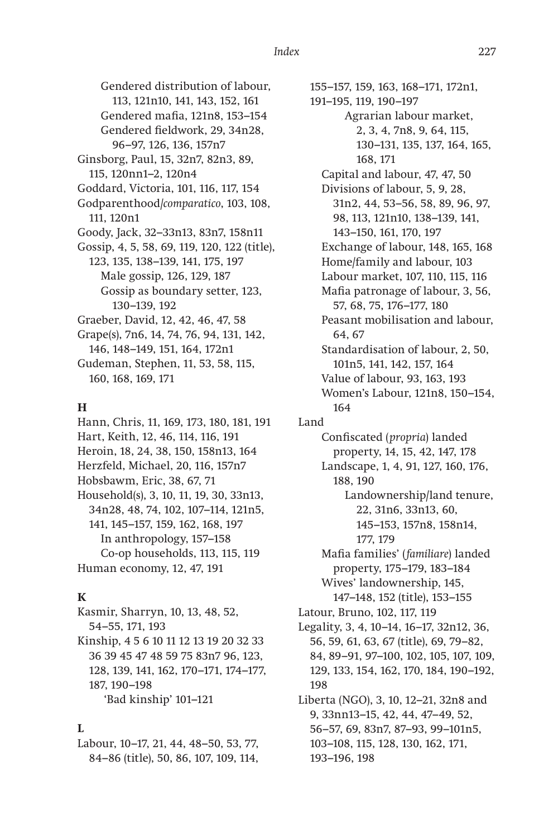Gendered distribution of labour, 113, 121n10, 141, 143, 152, 161 Gendered mafia, 121n8, 153–154 Gendered fieldwork, 29, 34n28, 96–97, 126, 136, 157n7 Ginsborg, Paul, 15, 32n7, 82n3, 89, 115, 120nn1–2, 120n4 Goddard, Victoria, 101, 116, 117, 154 Godparenthood/*comparatico*, 103, 108, 111, 120n1 Goody, Jack, 32–33n13, 83n7, 158n11 Gossip, 4, 5, 58, 69, 119, 120, 122 (title), 123, 135, 138–139, 141, 175, 197 Male gossip, 126, 129, 187 Gossip as boundary setter, 123, 130–139, 192 Graeber, David, 12, 42, 46, 47, 58 Grape(s), 7n6, 14, 74, 76, 94, 131, 142, 146, 148–149, 151, 164, 172n1 Gudeman, Stephen, 11, 53, 58, 115,

**H**

160, 168, 169, 171

Hann, Chris, 11, 169, 173, 180, 181, 191 Hart, Keith, 12, 46, 114, 116, 191 Heroin, 18, 24, 38, 150, 158n13, 164 Herzfeld, Michael, 20, 116, 157n7 Hobsbawm, Eric, 38, 67, 71 Household(s), 3, 10, 11, 19, 30, 33n13, 34n28, 48, 74, 102, 107–114, 121n5, 141, 145–157, 159, 162, 168, 197 In anthropology, 157–158 Co-op households, 113, 115, 119 Human economy, 12, 47, 191

## **K**

Kasmir, Sharryn, 10, 13, 48, 52, 54–55, 171, 193 Kinship, 4 5 6 10 11 12 13 19 20 32 33 36 39 45 47 48 59 75 83n7 96, 123, 128, 139, 141, 162, 170–171, 174–177, 187, 190–198 'Bad kinship' 101–121

**L**

Labour, 10–17, 21, 44, 48–50, 53, 77, 84–86 (title), 50, 86, 107, 109, 114,

155–157, 159, 163, 168–171, 172n1, 191–195, 119, 190–197 Agrarian labour market, 2, 3, 4, 7n8, 9, 64, 115, 130–131, 135, 137, 164, 165, 168, 171 Capital and labour, 47, 47, 50 Divisions of labour, 5, 9, 28, 31n2, 44, 53–56, 58, 89, 96, 97, 98, 113, 121n10, 138–139, 141, 143–150, 161, 170, 197 Exchange of labour, 148, 165, 168 Home/family and labour, 103 Labour market, 107, 110, 115, 116 Mafia patronage of labour, 3, 56, 57, 68, 75, 176–177, 180 Peasant mobilisation and labour, 64, 67 Standardisation of labour, 2, 50, 101n5, 141, 142, 157, 164 Value of labour, 93, 163, 193 Women's Labour, 121n8, 150–154, 164 Land Confiscated (*propria*) landed property, 14, 15, 42, 147, 178 Landscape, 1, 4, 91, 127, 160, 176, 188, 190 Landownership/land tenure, 22, 31n6, 33n13, 60, 145–153, 157n8, 158n14, 177, 179 Mafia families' (*familiare*) landed property, 175–179, 183–184 Wives' landownership, 145, 147–148, 152 (title), 153–155 Latour, Bruno, 102, 117, 119 Legality, 3, 4, 10–14, 16–17, 32n12, 36, 56, 59, 61, 63, 67 (title), 69, 79–82, 84, 89–91, 97–100, 102, 105, 107, 109, 129, 133, 154, 162, 170, 184, 190–192, 198 Liberta (NGO), 3, 10, 12–21, 32n8 and 9, 33nn13–15, 42, 44, 47–49, 52, 56–57, 69, 83n7, 87–93, 99–101n5, 103–108, 115, 128, 130, 162, 171, 193–196, 198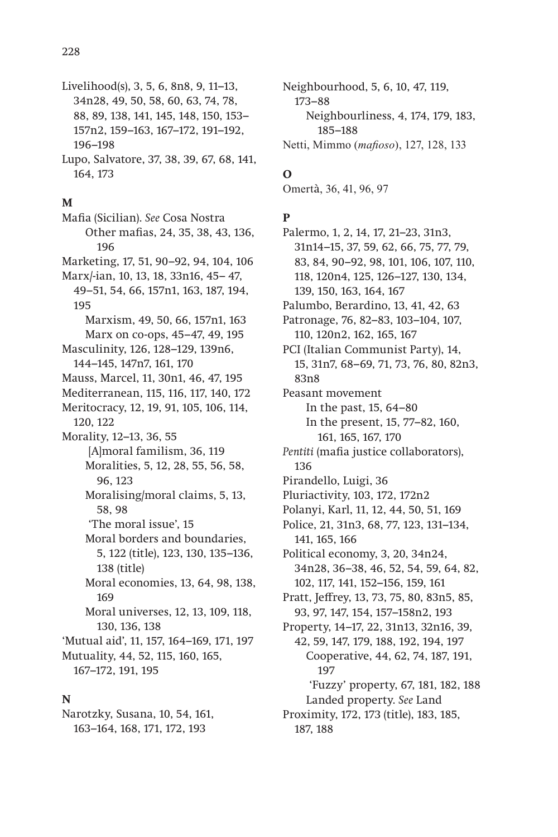- Livelihood(s), 3, 5, 6, 8n8, 9, 11-13, 34n28, 49, 50, 58, 60, 63, 74, 78, 88, 89, 138, 141, 145, 148, 150, 153-157n2, 159-163, 167-172, 191-192, 196-198 Lupo, Salvatore, 37, 38, 39, 67, 68, 141,
- 164, 173

#### M

Mafia (Sicilian). See Cosa Nostra Other mafias, 24, 35, 38, 43, 136, 196 Marketing, 17, 51, 90–92, 94, 104, 106 Marx/-ian, 10, 13, 18, 33n16, 45-47, 49-51, 54, 66, 157n1, 163, 187, 194, 195 Marxism, 49, 50, 66, 157n1, 163 Marx on co-ops, 45-47, 49, 195 Masculinity, 126, 128-129, 139n6, 144-145, 147n7, 161, 170 Mauss, Marcel, 11, 30n1, 46, 47, 195 Mediterranean, 115, 116, 117, 140, 172 Meritocracy, 12, 19, 91, 105, 106, 114, 120, 122 Morality, 12-13, 36, 55 [A]moral familism, 36, 119 Moralities, 5, 12, 28, 55, 56, 58, 96, 123 Moralising/moral claims, 5, 13, 58.98 'The moral issue'. 15 Moral borders and boundaries. 5, 122 (title), 123, 130, 135-136, 138 (title) Moral economies, 13, 64, 98, 138, 169 Moral universes, 12, 13, 109, 118, 130, 136, 138 'Mutual aid', 11, 157, 164-169, 171, 197 Mutuality, 44, 52, 115, 160, 165, 167-172, 191, 195

## N

Narotzky, Susana, 10, 54, 161, 163-164, 168, 171, 172, 193

Neighbourhood, 5, 6, 10, 47, 119,  $173 - 88$ Neighbourliness, 4, 174, 179, 183, 185–188 Netti, Mimmo (mafioso), 127, 128, 133

# $\mathbf 0$

Omertà, 36, 41, 96, 97

## $\mathbf{P}$

Palermo, 1, 2, 14, 17, 21-23, 31n3, 31n14-15, 37, 59, 62, 66, 75, 77, 79, 83, 84, 90-92, 98, 101, 106, 107, 110, 118, 120n4, 125, 126-127, 130, 134, 139, 150, 163, 164, 167 Palumbo, Berardino, 13, 41, 42, 63 Patronage, 76, 82-83, 103-104, 107, 110, 120n2, 162, 165, 167 PCI (Italian Communist Party), 14, 15, 31n7, 68-69, 71, 73, 76, 80, 82n3, 83n8 Peasant movement In the past, 15, 64-80 In the present, 15, 77-82, 160, 161, 165, 167, 170 Pentiti (mafia justice collaborators), 136 Pirandello, Luigi, 36 Pluriactivity, 103, 172, 172n2 Polanyi, Karl, 11, 12, 44, 50, 51, 169 Police, 21, 31n3, 68, 77, 123, 131-134, 141, 165, 166 Political economy, 3, 20, 34n24, 34n28, 36-38, 46, 52, 54, 59, 64, 82, 102, 117, 141, 152-156, 159, 161 Pratt, Jeffrey, 13, 73, 75, 80, 83n5, 85, 93, 97, 147, 154, 157-158n2, 193 Property, 14-17, 22, 31n13, 32n16, 39, 42, 59, 147, 179, 188, 192, 194, 197 Cooperative, 44, 62, 74, 187, 191, 197 'Fuzzy' property, 67, 181, 182, 188 Landed property. See Land Proximity, 172, 173 (title), 183, 185, 187, 188